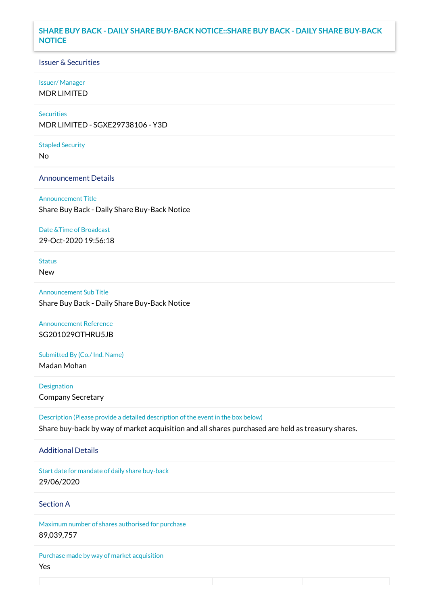## **SHARE BUY BACK - DAILY SHARE BUY-BACK NOTICE::SHARE BUY BACK - DAILY SHARE BUY-BACK NOTICE**

### Issuer & Securities

#### Issuer/ Manager

MDR LIMITED

## **Securities**

MDR LIMITED - SGXE29738106 - Y3D

#### Stapled Security

No

#### Announcement Details

Announcement Title Share Buy Back - Daily Share Buy-Back Notice

### Date &Time of Broadcast

29-Oct-2020 19:56:18

# Status

New

# Announcement Sub Title Share Buy Back - Daily Share Buy-Back Notice

# Announcement Reference SG201029OTHRU5JB

Submitted By (Co./ Ind. Name)

Madan Mohan

**Designation** Company Secretary

Description (Please provide a detailed description of the event in the box below) Share buy-back by way of market acquisition and all shares purchased are held as treasury shares.

#### Additional Details

Start date for mandate of daily share buy-back 29/06/2020

## Section A

Maximum number of shares authorised for purchase 89,039,757

Purchase made by way of market acquisition Yes